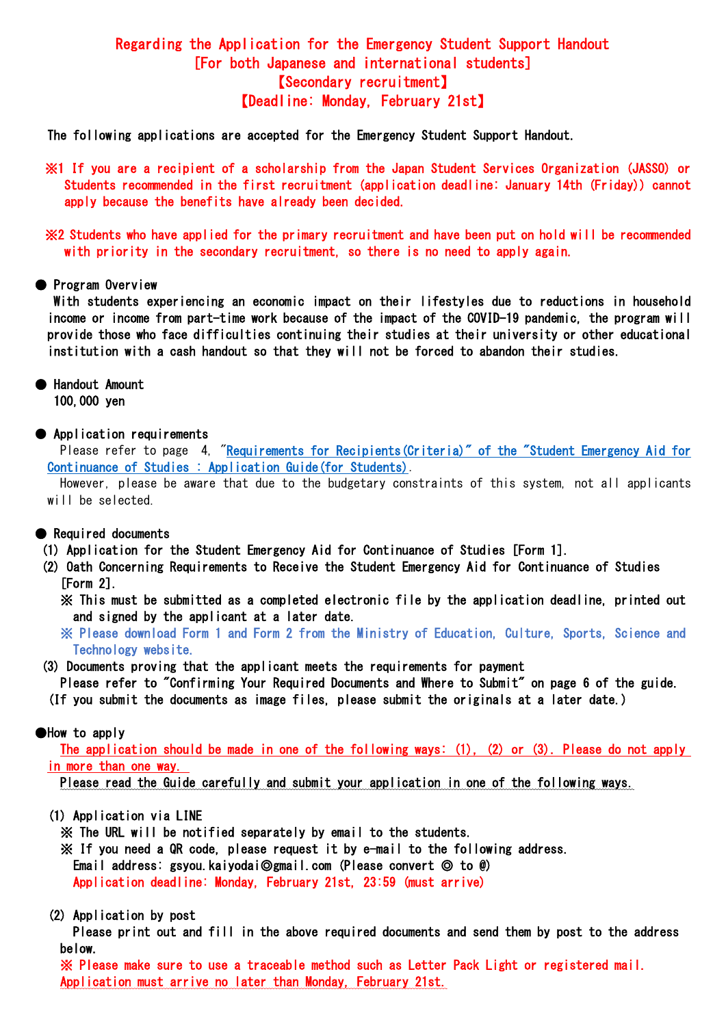# Regarding the Application for the Emergency Student Support Handout [For both Japanese and international students] 【Secondary recruitment】 【Deadline: Monday, February 21st】

The following applications are accepted for the Emergency Student Support Handout.

※1 If you are a recipient of a scholarship from the Japan Student Services Organization (JASSO) or Students recommended in the first recruitment (application deadline: January 14th (Friday)) cannot apply because the benefits have already been decided.

※2 Students who have applied for the primary recruitment and have been put on hold will be recommended with priority in the secondary recruitment, so there is no need to apply again.

## ● Program Overview

With students experiencing an economic impact on their lifestyles due to reductions in household income or income from part-time work because of the impact of the COVID-19 pandemic, the program will provide those who face difficulties continuing their studies at their university or other educational institution with a cash handout so that they will not be forced to abandon their studies.

● Handout Amount

100,000 yen

● Application requirements

Please refer to page 4, ["Requirements for Recipients\(Criteria\)" of the "Student Emergency Aid for](https://www.mext.go.jp/content/20211222-mxt_gakushi01_000019545_1.pdf)  [Continuance of Studies : Application Guide\(for Students\).](https://www.mext.go.jp/content/20211222-mxt_gakushi01_000019545_1.pdf)

However, please be aware that due to the budgetary constraints of this system, not all applicants will be selected.

# ● Required documents

(1) Application for the Student Emergency Aid for Continuance of Studies [Form 1].

- (2) Oath Concerning Requirements to Receive the Student Emergency Aid for Continuance of Studies [Form 2].
	- ※ This must be submitted as a completed electronic file by the application deadline, printed out and signed by the applicant at a later date.

 ※ Please download Form 1 and Form 2 from the Ministry of Education, Culture, Sports, Science and Technology website.

(3) Documents proving that the applicant meets the requirements for payment

Please refer to "Confirming Your Required Documents and Where to Submit" on page 6 of the guide.

(If you submit the documents as image files, please submit the originals at a later date.)

## ●How to apply

The application should be made in one of the following ways: (1), (2) or (3). Please do not apply in more than one way.

Please read the Guide carefully and submit your application in one of the following ways.

- (1) Application via LINE
	- ※ The URL will be notified separately by email to the students.
	- ※ If you need a QR code, please request it by e-mail to the following address.

Email address: gsyou.kaiyodai◎gmail.com (Please convert ◎ to @)

Application deadline: Monday, February 21st, 23:59 (must arrive)

## (2) Application by post

Please print out and fill in the above required documents and send them by post to the address below.

※ Please make sure to use a traceable method such as Letter Pack Light or registered mail. Application must arrive no later than Monday, February 21st.